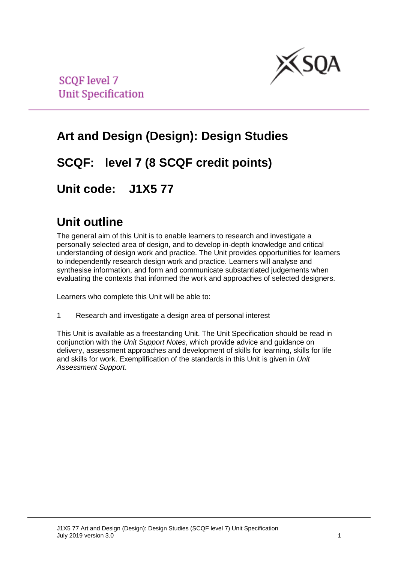

**SCQF** level 7 **Unit Specification** 

# **Art and Design (Design): Design Studies**

## **SCQF: level 7 (8 SCQF credit points)**

## **Unit code: J1X5 77**

## **Unit outline**

The general aim of this Unit is to enable learners to research and investigate a personally selected area of design, and to develop in-depth knowledge and critical understanding of design work and practice. The Unit provides opportunities for learners to independently research design work and practice. Learners will analyse and synthesise information, and form and communicate substantiated judgements when evaluating the contexts that informed the work and approaches of selected designers.

Learners who complete this Unit will be able to:

1 Research and investigate a design area of personal interest

This Unit is available as a freestanding Unit. The Unit Specification should be read in conjunction with the *Unit Support Notes*, which provide advice and guidance on delivery, assessment approaches and development of skills for learning, skills for life and skills for work. Exemplification of the standards in this Unit is given in *Unit Assessment Support*.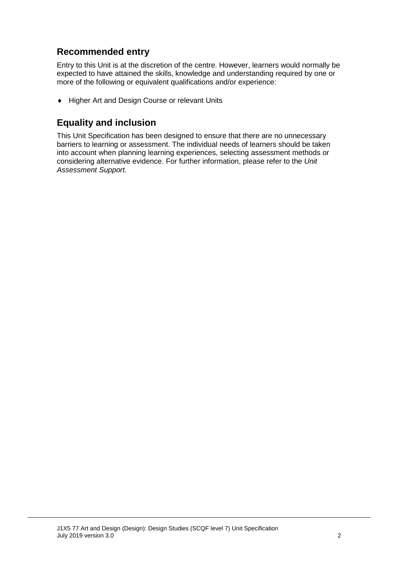### **Recommended entry**

Entry to this Unit is at the discretion of the centre. However, learners would normally be expected to have attained the skills, knowledge and understanding required by one or more of the following or equivalent qualifications and/or experience:

♦ Higher Art and Design Course or relevant Units

### **Equality and inclusion**

This Unit Specification has been designed to ensure that there are no unnecessary barriers to learning or assessment. The individual needs of learners should be taken into account when planning learning experiences, selecting assessment methods or considering alternative evidence. For further information, please refer to the *Unit Assessment Support.*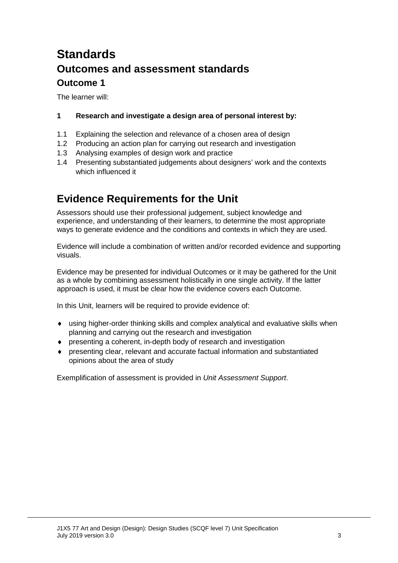# **Standards Outcomes and assessment standards Outcome 1**

The learner will:

#### **1 Research and investigate a design area of personal interest by:**

- 1.1 Explaining the selection and relevance of a chosen area of design
- 1.2 Producing an action plan for carrying out research and investigation
- 1.3 Analysing examples of design work and practice
- 1.4 Presenting substantiated judgements about designers' work and the contexts which influenced it

## **Evidence Requirements for the Unit**

Assessors should use their professional judgement, subject knowledge and experience, and understanding of their learners, to determine the most appropriate ways to generate evidence and the conditions and contexts in which they are used.

Evidence will include a combination of written and/or recorded evidence and supporting visuals.

Evidence may be presented for individual Outcomes or it may be gathered for the Unit as a whole by combining assessment holistically in one single activity. If the latter approach is used, it must be clear how the evidence covers each Outcome.

In this Unit, learners will be required to provide evidence of:

- ♦ using higher-order thinking skills and complex analytical and evaluative skills when planning and carrying out the research and investigation
- ♦ presenting a coherent, in-depth body of research and investigation
- ♦ presenting clear, relevant and accurate factual information and substantiated opinions about the area of study

Exemplification of assessment is provided in *Unit Assessment Support*.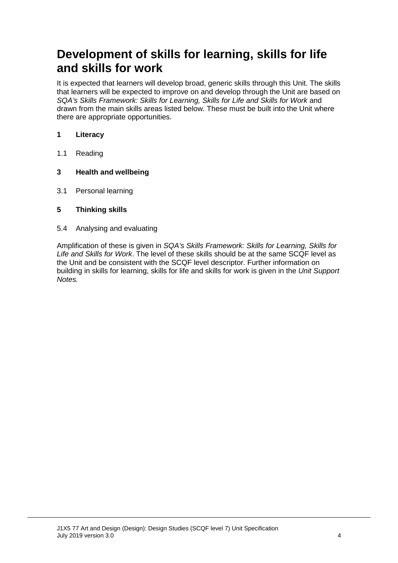# **Development of skills for learning, skills for life and skills for work**

It is expected that learners will develop broad, generic skills through this Unit. The skills that learners will be expected to improve on and develop through the Unit are based on *SQA's Skills Framework: Skills for Learning, Skills for Life and Skills for Work* and drawn from the main skills areas listed below. These must be built into the Unit where there are appropriate opportunities.

#### **1 Literacy**

- 1.1 Reading
- **3 Health and wellbeing**
- 3.1 Personal learning
- **5 Thinking skills**
- 5.4 Analysing and evaluating

Amplification of these is given in *SQA's Skills Framework: Skills for Learning, Skills for Life and Skills for Work*. The level of these skills should be at the same SCQF level as the Unit and be consistent with the SCQF level descriptor. Further information on building in skills for learning, skills for life and skills for work is given in the *Unit Support Notes.*